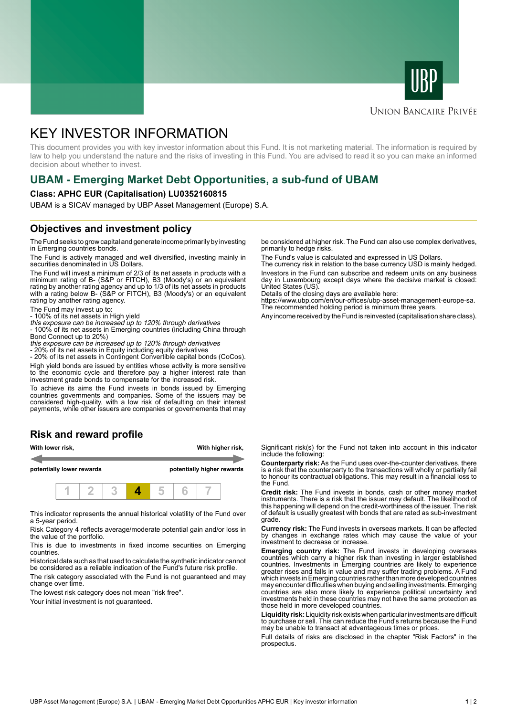



#### **UNION BANCAIRE PRIVÉE**

# KEY INVESTOR INFORMATION

This document provides you with key investor information about this Fund. It is not marketing material. The information is required by law to help you understand the nature and the risks of investing in this Fund. You are advised to read it so you can make an informed decision about whether to invest.

## **UBAM - Emerging Market Debt Opportunities, a sub-fund of UBAM**

#### **Class: APHC EUR (Capitalisation) LU0352160815**

UBAM is a SICAV managed by UBP Asset Management (Europe) S.A.

### **Objectives and investment policy**

The Fund seeks to grow capital and generate income primarily by investing in Emerging countries bonds.

The Fund is actively managed and well diversified, investing mainly in securities denominated in US Dollars.

The Fund will invest a minimum of 2/3 of its net assets in products with a minimum rating of B- (S&P or FITCH), B3 (Moody's) or an equivalent rating by another rating agency and up to 1/3 of its net assets in products with a rating below B- (S&P or FITCH), B3 (Moody's) or an equivalent rating by another rating agency.

The Fund may invest up to:

- 100% of its net assets in High yield this exposure can be increased up to 120% through derivatives

- 100% of its net assets in Emerging countries (including China through Bond Connect up to 20%)

this exposure can be increased up to 120% through derivatives

- 20% of its net assets in Equity including equity derivatives

- 20% of its net assets in Contingent Convertible capital bonds (CoCos). High yield bonds are issued by entities whose activity is more sensitive to the economic cycle and therefore pay a higher interest rate than investment grade bonds to compensate for the increased risk.

To achieve its aims the Fund invests in bonds issued by Emerging countries governments and companies. Some of the issuers may be considered high-quality, with a low risk of defaulting on their interest payments, while other issuers are companies or governements that may

### **Risk and reward profile**



This indicator represents the annual historical volatility of the Fund over a 5-year period.

Risk Category 4 reflects average/moderate potential gain and/or loss in the value of the portfolio.

This is due to investments in fixed income securities on Emerging countries.

Historical data such as that used to calculate the synthetic indicator cannot be considered as a reliable indication of the Fund's future risk profile. The risk category associated with the Fund is not guaranteed and may

change over time. The lowest risk category does not mean "risk free".

Your initial investment is not quaranteed.

be considered at higher risk. The Fund can also use complex derivatives, primarily to hedge risks.

The Fund's value is calculated and expressed in US Dollars.

The currency risk in relation to the base currency USD is mainly hedged. Investors in the Fund can subscribe and redeem units on any business day in Luxembourg except days where the decisive market is closed: United States (US).

Details of the closing days are available here:

https://www.ubp.com/en/our-offices/ubp-asset-management-europe-sa. The recommended holding period is minimum three years.

Any income received by the Fund is reinvested (capitalisation share class).

Significant risk(s) for the Fund not taken into account in this indicator include the following:

**Counterparty risk:** As the Fund uses over-the-counter derivatives, there is a risk that the counterparty to the transactions will wholly or partially fail to honour its contractual obligations. This may result in a financial loss to the Fund.

**Credit risk:** The Fund invests in bonds, cash or other money market instruments. There is a risk that the issuer may default. The likelihood of this happening will depend on the credit-worthiness of the issuer. The risk of default is usually greatest with bonds that are rated as sub-investment grade.

**Currency risk:** The Fund invests in overseas markets. It can be affected by changes in exchange rates which may cause the value of your investment to decrease or increase.

**Emerging country risk:** The Fund invests in developing overseas countries which carry a higher risk than investing in larger established countries. Investments in Emerging countries are likely to experience greater rises and falls in value and may suffer trading problems. A Fund which invests in Emerging countries rather than more developed countries may encounter difficulties when buying and selling investments. Emerging countries are also more likely to experience political uncertainty and investments held in these countries may not have the same protection as those held in more developed countries.

**Liquidity risk:** Liquidity risk exists when particular investments are difficult to purchase or sell. This can reduce the Fund's returns because the Fund may be unable to transact at advantageous times or prices.

Full details of risks are disclosed in the chapter "Risk Factors" in the prospectus.